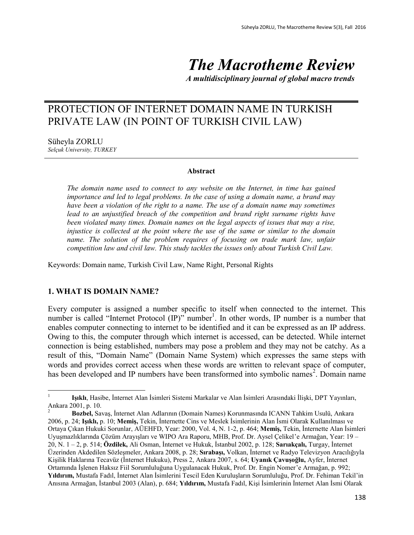# *The Macrotheme Review*

*A multidisciplinary journal of global macro trends*

# PROTECTION OF INTERNET DOMAIN NAME IN TURKISH PRIVATE LAW (IN POINT OF TURKISH CIVIL LAW)

Süheyla ZORLU *Selçuk University, TURKEY*

#### **Abstract**

*The domain name used to connect to any website on the Internet, in time has gained importance and led to legal problems. In the case of using a domain name, a brand may have been a violation of the right to a name. The use of a domain name may sometimes* lead to an unjustified breach of the competition and brand right surname rights have *been violated many times. Domain names on the legal aspects of issues that may a rise, injustice is collected at the point where the use of the same or similar to the domain name. The solution of the problem requires of focusing on trade mark law, unfair competition law and civil law. This study tackles the issues only about Turkish Civil Law.*

Keywords: Domain name, Turkish Civil Law, Name Right, Personal Rights

#### **1. WHAT IS DOMAIN NAME?**

 $\overline{a}$ 

Every computer is assigned a number specific to itself when connected to the internet. This number is called "Internet Protocol (IP)" number<sup>1</sup>. In other words, IP number is a number that enables computer connecting to internet to be identified and it can be expressed as an IP address. Owing to this, the computer through which internet is accessed, can be detected. While internet connection is being established, numbers may pose a problem and they may not be catchy. As a result of this, "Domain Name" (Domain Name System) which expresses the same steps with words and provides correct access when these words are written to relevant space of computer, has been developed and IP numbers have been transformed into symbolic names<sup>2</sup>. Domain name

<sup>1</sup> **Işıklı**, Hasibe, İnternet Alan İsimleri Sistemi Markalar ve Alan İsimleri Arasındaki İlişki, DPT Yayınları, Ankara 2001, p. 10.

<sup>2</sup> **Bozbel,** Savaş, İnternet Alan Adlarının (Domain Names) Korunmasında ICANN Tahkim Usulü, Ankara 2006, p. 24; **Işıklı,** p. 10; **Memiş,** Tekin, İnternette Cins ve Meslek İsimlerinin Alan İsmi Olarak Kullanılması ve Ortaya Çıkan Hukuki Sorunlar, AÜEHFD, Year: 2000, Vol. 4, N. 1-2, p. 464; **Memiş,** Tekin, İnternette Alan İsimleri Uyuşmazlıklarında Çözüm Arayışları ve WIPO Ara Raporu, MHB, Prof. Dr. Aysel Çelikel'e Armağan, Year: 19 – 20, N. 1 – 2, p. 514; **Özdilek,** Ali Osman, İnternet ve Hukuk, İstanbul 2002, p. 128; **Sarıakçalı,** Turgay, İnternet Üzerinden Akdedilen Sözleşmeler, Ankara 2008, p. 28; **Sırabaşı,** Volkan, İnternet ve Radyo Televizyon Aracılığıyla Kişilik Haklarına Tecavüz (İnternet Hukuku), Press 2, Ankara 2007, s. 64; **Uyanık Çavuşoğlu,** Ayfer, İnternet Ortamında İşlenen Haksız Fiil Sorumluluğuna Uygulanacak Hukuk, Prof. Dr. Engin Nomer'e Armağan, p. 992; **Yıldırım,** Mustafa Fadıl, İnternet Alan İsimlerini Tescil Eden Kuruluşların Sorumluluğu, Prof. Dr. Fehiman Tekil'in Anısına Armağan, İstanbul 2003 (Alan), p. 684; **Yıldırım,** Mustafa Fadıl, Kişi İsimlerinin İnternet Alan İsmi Olarak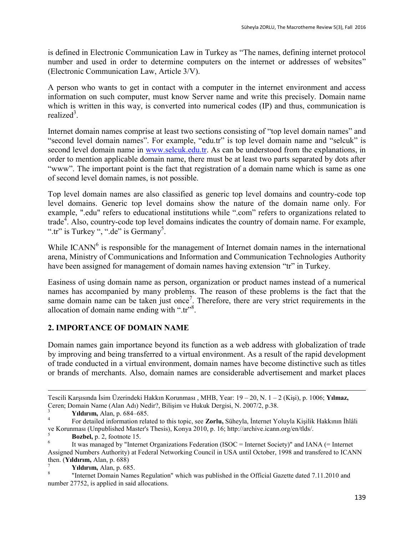is defined in Electronic Communication Law in Turkey as "The names, defining internet protocol number and used in order to determine computers on the internet or addresses of websites" (Electronic Communication Law, Article 3/V).

A person who wants to get in contact with a computer in the internet environment and access information on such computer, must know Server name and write this precisely. Domain name which is written in this way, is converted into numerical codes (IP) and thus, communication is realized<sup>3</sup>.

Internet domain names comprise at least two sections consisting of "top level domain names" and "second level domain names". For example, "edu.tr" is top level domain name and "selcuk" is second level domain name in [www.selcuk.edu.tr.](http://www.selcuk.edu.tr/) As can be understood from the explanations, in order to mention applicable domain name, there must be at least two parts separated by dots after "www". The important point is the fact that registration of a domain name which is same as one of second level domain names, is not possible.

Top level domain names are also classified as generic top level domains and country-code top level domains. Generic top level domains show the nature of the domain name only. For example, ".edu" refers to educational institutions while ".com" refers to organizations related to trade<sup>4</sup>. Also, country-code top level domains indicates the country of domain name. For example, ".tr" is Turkey ", ".de" is Germany<sup>5</sup>.

While  $ICANN<sup>6</sup>$  is responsible for the management of Internet domain names in the international arena, Ministry of Communications and Information and Communication Technologies Authority have been assigned for management of domain names having extension "tr" in Turkey.

Easiness of using domain name as person, organization or product names instead of a numerical names has accompanied by many problems. The reason of these problems is the fact that the same domain name can be taken just once<sup>7</sup>. Therefore, there are very strict requirements in the allocation of domain name ending with ".tr"<sup>8</sup>.

# **2. IMPORTANCE OF DOMAIN NAME**

Domain names gain importance beyond its function as a web address with globalization of trade by improving and being transferred to a virtual environment. As a result of the rapid development of trade conducted in a virtual environment, domain names have become distinctive such as titles or brands of merchants. Also, domain names are considerable advertisement and market places

 $\overline{a}$ 

Tescili Karşısında İsim Üzerindeki Hakkın Korunması , MHB, Year: 19 – 20, N. 1 – 2 (Kişi), p. 1006; **Yılmaz,**  Ceren; Domain Name (Alan Adı) Nedir?, Bilişim ve Hukuk Dergisi, N. 2007/2, p.38.

<sup>3</sup> **Yıldırım,** Alan, p. 684–685.

<sup>4</sup> For detailed information related to this topic, see **Zorlu,** Süheyla, İnternet Yoluyla Kişilik Hakkının İhlâli ve Korunması (Unpublished Master's Thesis), Konya 2010, p. 16; http://archive.icann.org/en/tlds/.

<sup>5</sup> **Bozbel,** p. 2, footnote 15.

<sup>6</sup> It was managed by "Internet Organizations Federation (ISOC = Internet Society)" and IANA (= Internet Assigned Numbers Authority) at Federal Networking Council in USA until October, 1998 and transfered to ICANN then. (**Yıldırım,** Alan, p. 688)

<sup>7</sup> **Yıldırım,** Alan, p. 685.

<sup>8</sup> "Internet Domain Names Regulation" which was published in the Official Gazette dated 7.11.2010 and number 27752, is applied in said allocations.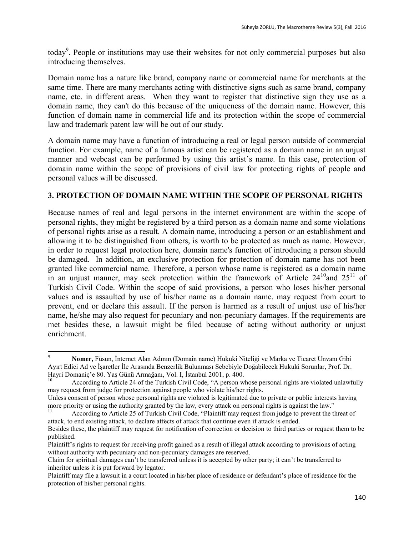today<sup>9</sup>. People or institutions may use their websites for not only commercial purposes but also introducing themselves.

Domain name has a nature like brand, company name or commercial name for merchants at the same time. There are many merchants acting with distinctive signs such as same brand, company name, etc. in different areas. When they want to register that distinctive sign they use as a domain name, they can't do this because of the uniqueness of the domain name. However, this function of domain name in commercial life and its protection within the scope of commercial law and trademark patent law will be out of our study.

A domain name may have a function of introducing a real or legal person outside of commercial function. For example, name of a famous artist can be registered as a domain name in an unjust manner and webcast can be performed by using this artist's name. In this case, protection of domain name within the scope of provisions of civil law for protecting rights of people and personal values will be discussed.

### **3. PROTECTION OF DOMAIN NAME WITHIN THE SCOPE OF PERSONAL RIGHTS**

Because names of real and legal persons in the internet environment are within the scope of personal rights, they might be registered by a third person as a domain name and some violations of personal rights arise as a result. A domain name, introducing a person or an establishment and allowing it to be distinguished from others, is worth to be protected as much as name. However, in order to request legal protection here, domain name's function of introducing a person should be damaged. In addition, an exclusive protection for protection of domain name has not been granted like commercial name. Therefore, a person whose name is registered as a domain name in an unjust manner, may seek protection within the framework of Article  $24^{10}$  and  $25^{11}$  of Turkish Civil Code. Within the scope of said provisions, a person who loses his/her personal values and is assaulted by use of his/her name as a domain name, may request from court to prevent, end or declare this assault. If the person is harmed as a result of unjust use of his/her name, he/she may also request for pecuniary and non-pecuniary damages. If the requirements are met besides these, a lawsuit might be filed because of acting without authority or unjust enrichment.

 $\ddot{\phantom{a}}$ <sup>9</sup> **Nomer,** Füsun, İnternet Alan Adının (Domain name) Hukuki Niteliği ve Marka ve Ticaret Unvanı Gibi Ayırt Edici Ad ve İşaretler İle Arasında Benzerlik Bulunması Sebebiyle Doğabilecek Hukuki Sorunlar, Prof. Dr. Hayri Domaniç'e 80. Yaş Günü Armağanı, Vol. I, İstanbul 2001, p. 400.

According to Article 24 of the Turkish Civil Code, "A person whose personal rights are violated unlawfully may request from judge for protection against people who violate his/her rights.

Unless consent of person whose personal rights are violated is legitimated due to private or public interests having more priority or using the authority granted by the law, every attack on personal rights is against the law."

<sup>11</sup> According to Article 25 of Turkish Civil Code, "Plaintiff may request from judge to prevent the threat of attack, to end existing attack, to declare affects of attack that continue even if attack is ended. Besides these, the plaintiff may request for notification of correction or decision to third parties or request them to be published.

Plaintiff's rights to request for receiving profit gained as a result of illegal attack according to provisions of acting without authority with pecuniary and non-pecuniary damages are reserved.

Claim for spiritual damages can't be transferred unless it is accepted by other party; it can't be transferred to inheritor unless it is put forward by legator.

Plaintiff may file a lawsuit in a court located in his/her place of residence or defendant's place of residence for the protection of his/her personal rights.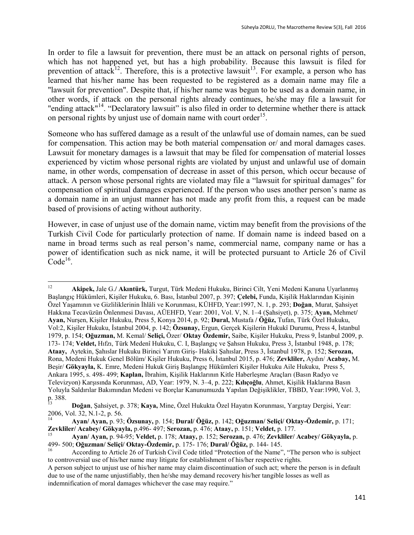In order to file a lawsuit for prevention, there must be an attack on personal rights of person, which has not happened yet, but has a high probability. Because this lawsuit is filed for prevention of attack<sup>12</sup>. Therefore, this is a protective lawsuit<sup>13</sup>. For example, a person who has learned that his/her name has been requested to be registered as a domain name may file a "lawsuit for prevention". Despite that, if his/her name was begun to be used as a domain name, in other words, if attack on the personal rights already continues, he/she may file a lawsuit for "ending attack"<sup>14</sup>. "Declaratory lawsuit" is also filed in order to determine whether there is attack on personal rights by unjust use of domain name with court order<sup>15</sup>.

Someone who has suffered damage as a result of the unlawful use of domain names, can be sued for compensation. This action may be both material compensation or/ and moral damages cases. Lawsuit for monetary damages is a lawsuit that may be filed for compensation of material losses experienced by victim whose personal rights are violated by unjust and unlawful use of domain name, in other words, compensation of decrease in asset of this person, which occur because of attack. A person whose personal rights are violated may file a "lawsuit for spiritual damages" for compensation of spiritual damages experienced. If the person who uses another person's name as a domain name in an unjust manner has not made any profit from this, a request can be made based of provisions of acting without authority.

However, in case of unjust use of the domain name, victim may benefit from the provisions of the Turkish Civil Code for particularly protection of name. If domain name is indeed based on a name in broad terms such as real person's name, commercial name, company name or has a power of identification such as nick name, it will be protected pursuant to Article 26 of Civil  $Code<sup>16</sup>$ .

 $12 \,$ <sup>12</sup> **Akipek,** Jale G.**/ Akıntürk,** Turgut, Türk Medeni Hukuku, Birinci Cilt, Yeni Medeni Kanuna Uyarlanmış Başlangıç Hükümleri, Kişiler Hukuku, 6. Bası, İstanbul 2007, p. 397; **Çelebi,** Funda, Kişilik Haklarından Kişinin Özel Yaşamının ve Gizliliklerinin İhlâli ve Korunması, KÜHFD, Year:1997, N. 1, p. 293; **Doğan**, Murat, Şahsiyet Hakkına Tecavüzün Önlenmesi Davası, AÜEHFD, Year: 2001, Vol. V, N. 1–4 (Şahsiyet), p. 375; **Ayan,** Mehmet**/ Ayan,** Nurşen, Kişiler Hukuku, Press 5, Konya 2014, p. 92; **Dural,** Mustafa **/ Öğüz,** Tufan, Türk Özel Hukuku, Vol:2, Kişiler Hukuku, İstanbul 2004, p. 142; **Özsunay,** Ergun, Gerçek Kişilerin Hukukî Durumu, Press 4, İstanbul 1979, p. 154; **Oğuzman,** M. Kemal/ **Seliçi,** Özer/ **Oktay Özdemir,** Saibe, Kişiler Hukuku, Press 9, İstanbul 2009, p. 173- 174; **Veldet,** Hıfzı, Türk Medenî Hukuku, C. I, Başlangıç ve Şahsın Hukuku, Press 3, İstanbul 1948, p. 178; **Ataay,** Aytekin, Şahıslar Hukuku Birinci Yarım Giriş- Hakiki Şahıslar, Press 3, İstanbul 1978, p. 152; **Serozan,**  Rona, Medeni Hukuk Genel Bölüm/ Kişiler Hukuku, Press 6, İstanbul 2015, p. 476; **Zevkliler,** Aydın/ **Acabay,** M. Beşir/ **Gökyayla,** K. Emre, Medeni Hukuk Giriş Başlangıç Hükümleri Kişiler Hukuku Aile Hukuku, Press 5, Ankara 1995, s. 498- 499; **Kaplan,** İbrahim, Kişilik Haklarının Kitle Haberleşme Araçları (Basın Radyo ve Televizyon) Karşısında Korunması, AD, Year: 1979, N. 3–4, p. 222; **Kılıçoğlu**, Ahmet, Kişilik Haklarına Basın Yoluyla Saldırılar Bakımından Medeni ve Borçlar Kanunumuzda Yapılan Değişiklikler, TBBD, Year:1990, Vol. 3, p. 388.

<sup>13</sup> **Doğan**, Şahsiyet, p. 378; **Kaya,** Mine, Özel Hukukta Özel Hayatın Korunması, Yargıtay Dergisi, Year: 2006, Vol. 32, N.1-2, p. 56.

<sup>14</sup> **Ayan/ Ayan,** p. 93; **Özsunay,** p. 154; **Dural/ Öğüz,** p. 142; **Oğuzman/ Seliçi/ Oktay-Özdemir,** p. 171; **Zevkliler/ Acabey/ Gökyayla,** p.496- 497; **Serozan,** p. 476; **Ataay,** p. 151; **Veldet,** p. 177.

<sup>15</sup> **Ayan/ Ayan,** p. 94-95; **Veldet,** p. 178; **Ataay,** p. 152; **Serozan,** p. 476; **Zevkliler/ Acabey/ Gökyayla,** p. 499- 500; **Oğuzman/ Seliçi/ Oktay-Özdemir,** p. 175- 176; **Dural/ Öğüz,** p. 144- 145.

According to Article 26 of Turkish Civil Code titled "Protection of the Name", "The person who is subject to controversial use of his/her name may litigate for establishment of his/her respective rights.

A person subject to unjust use of his/her name may claim discontinuation of such act; where the person is in default due to use of the name unjustifiably, then he/she may demand recovery his/her tangible losses as well as indemnification of moral damages whichever the case may require."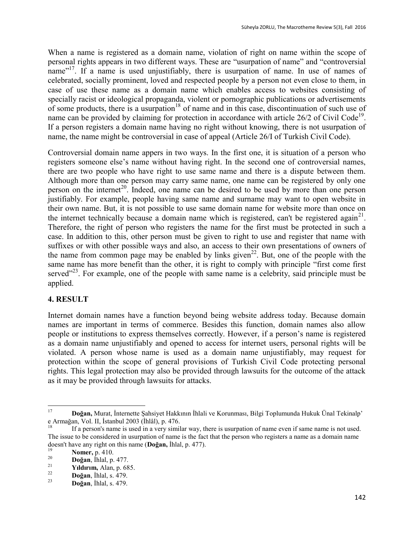When a name is registered as a domain name, violation of right on name within the scope of personal rights appears in two different ways. These are "usurpation of name" and "controversial name"<sup>17</sup>. If a name is used unjustifiably, there is usurpation of name. In use of names of celebrated, socially prominent, loved and respected people by a person not even close to them, in case of use these name as a domain name which enables access to websites consisting of specially racist or ideological propaganda, violent or pornographic publications or advertisements of some products, there is a usurpation<sup>18</sup> of name and in this case, discontinuation of such use of name can be provided by claiming for protection in accordance with article  $26/2$  of Civil Code<sup>19</sup>. If a person registers a domain name having no right without knowing, there is not usurpation of name, the name might be controversial in case of appeal (Article 26/I of Turkish Civil Code).

Controversial domain name appers in two ways. In the first one, it is situation of a person who registers someone else's name without having right. In the second one of controversial names, there are two people who have right to use same name and there is a dispute between them. Although more than one person may carry same name, one name can be registered by only one person on the internet<sup>20</sup>. Indeed, one name can be desired to be used by more than one person justifiably. For example, people having same name and surname may want to open website in their own name. But, it is not possible to use same domain name for website more than once on the internet technically because a domain name which is registered, can't be registered again<sup>21</sup>. Therefore, the right of person who registers the name for the first must be protected in such a case. In addition to this, other person must be given to right to use and register that name with suffixes or with other possible ways and also, an access to their own presentations of owners of the name from common page may be enabled by links given<sup>22</sup>. But, one of the people with the same name has more benefit than the other, it is right to comply with principle "first come first served $123$ . For example, one of the people with same name is a celebrity, said principle must be applied.

# **4. RESULT**

Internet domain names have a function beyond being website address today. Because domain names are important in terms of commerce. Besides this function, domain names also allow people or institutions to express themselves correctly. However, if a person's name is registered as a domain name unjustifiably and opened to access for internet users, personal rights will be violated. A person whose name is used as a domain name unjustifiably, may request for protection within the scope of general provisions of Turkish Civil Code protecting personal rights. This legal protection may also be provided through lawsuits for the outcome of the attack as it may be provided through lawsuits for attacks.

<sup>17</sup> <sup>17</sup> **Doğan,** Murat, İnternette Şahsiyet Hakkının İhlali ve Korunması, Bilgi Toplumunda Hukuk Ünal Tekinalp' e Armağan, Vol. II, İstanbul 2003 (İhlâl), p. 476.

<sup>18</sup> If a person's name is used in a very similar way, there is usurpation of name even if same name is not used. The issue to be considered in usurpation of name is the fact that the person who registers a name as a domain name doesn't have any right on this name (**Doğan,** İhlal, p. 477).

<sup>&</sup>lt;sup>19</sup> **Nomer**, p. 410.

 $\frac{20}{21}$  **Doğan**, İhlal, p. 477.

 $\frac{21}{22}$  **Yıldırım,** Alan, p. 685.

 $\frac{22}{23}$  **Doğan**, İhlal, s. 479.

<sup>23</sup> **Doğan**, İhlal, s. 479.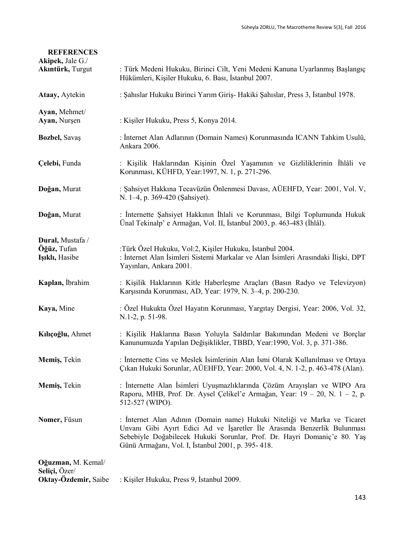| <b>REFERENCES</b><br>Akipek, Jale G./<br>Akıntürk, Turgut | : Türk Medeni Hukuku, Birinci Cilt, Yeni Medeni Kanuna Uyarlanmış Başlangıç<br>Hükümleri, Kişiler Hukuku, 6. Bası, İstanbul 2007.                                                                                                                                                     |
|-----------------------------------------------------------|---------------------------------------------------------------------------------------------------------------------------------------------------------------------------------------------------------------------------------------------------------------------------------------|
| Ataay, Aytekin                                            | : Şahıslar Hukuku Birinci Yarım Giriş- Hakiki Şahıslar, Press 3, İstanbul 1978.                                                                                                                                                                                                       |
| Ayan, Mehmet/<br>Ayan, Nurşen                             | : Kişiler Hukuku, Press 5, Konya 2014.                                                                                                                                                                                                                                                |
| Bozbel, Savaş                                             | : İnternet Alan Adlarının (Domain Names) Korunmasında ICANN Tahkim Usulü,<br>Ankara 2006.                                                                                                                                                                                             |
| Çelebi, Funda                                             | : Kişilik Haklarından Kişinin Özel Yaşamının ve Gizliliklerinin İhlâli ve<br>Korunması, KÜHFD, Year: 1997, N. 1, p. 271-296.                                                                                                                                                          |
| Doğan, Murat                                              | : Şahsiyet Hakkına Tecavüzün Önlenmesi Davası, AÜEHFD, Year: 2001, Vol. V,<br>N. 1-4, p. 369-420 (Şahsiyet).                                                                                                                                                                          |
| Doğan, Murat                                              | : Internette Şahsiyet Hakkının İhlali ve Korunması, Bilgi Toplumunda Hukuk<br>Ünal Tekinalp' e Armağan, Vol. II, İstanbul 2003, p. 463-483 (İhlâl).                                                                                                                                   |
| Dural, Mustafa /<br>Öğüz, Tufan<br>Işıklı, Hasibe         | :Türk Özel Hukuku, Vol:2, Kişiler Hukuku, İstanbul 2004.<br>: İnternet Alan İsimleri Sistemi Markalar ve Alan İsimleri Arasındaki İlişki, DPT<br>Yayınları, Ankara 2001.                                                                                                              |
| Kaplan, İbrahim                                           | : Kişilik Haklarının Kitle Haberleşme Araçları (Basın Radyo ve Televizyon)<br>Karşısında Korunması, AD, Year: 1979, N. 3-4, p. 200-230.                                                                                                                                               |
| Kaya, Mine                                                | : Özel Hukukta Özel Hayatın Korunması, Yargıtay Dergisi, Year: 2006, Vol. 32,<br>N.1-2, p. 51-98.                                                                                                                                                                                     |
| Kılıçoğlu, Ahmet                                          | : Kişilik Haklarına Basın Yoluyla Saldırılar Bakımından Medeni ve Borçlar<br>Kanunumuzda Yapılan Değişiklikler, TBBD, Year:1990, Vol. 3, p. 371-386.                                                                                                                                  |
| Memiş, Tekin                                              | : Internette Cins ve Meslek Isimlerinin Alan Ismi Olarak Kullanılması ve Ortaya<br>Çıkan Hukuki Sorunlar, AÜEHFD, Year: 2000, Vol. 4, N. 1-2, p. 463-478 (Alan).                                                                                                                      |
| Memiş, Tekin                                              | : İnternette Alan İsimleri Uyuşmazlıklarında Çözüm Arayışları ve WIPO Ara<br>Raporu, MHB, Prof. Dr. Aysel Çelikel'e Armağan, Year: 19 – 20, N. 1 – 2, p.<br>512-527 (WIPO).                                                                                                           |
| Nomer, Füsun                                              | : Internet Alan Adının (Domain name) Hukuki Niteliği ve Marka ve Ticaret<br>Unvanı Gibi Ayırt Edici Ad ve İşaretler İle Arasında Benzerlik Bulunması<br>Sebebiyle Doğabilecek Hukuki Sorunlar, Prof. Dr. Hayri Domaniç'e 80. Yaş<br>Günü Armağanı, Vol. I, İstanbul 2001, p. 395-418. |
| Oğuzman, M. Kemal/<br>Seliçi, Özer/                       |                                                                                                                                                                                                                                                                                       |